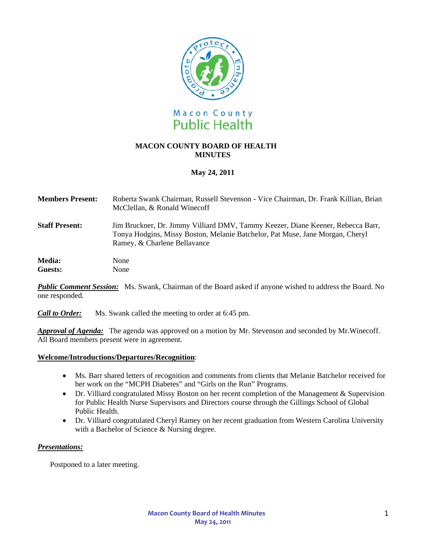

# **MACON COUNTY BOARD OF HEALTH MINUTES**

# **May 24, 2011**

| <b>Members Present:</b>  | Roberta Swank Chairman, Russell Stevenson - Vice Chairman, Dr. Frank Killian, Brian<br>McClellan, & Ronald Winecoff                                                                              |
|--------------------------|--------------------------------------------------------------------------------------------------------------------------------------------------------------------------------------------------|
| <b>Staff Present:</b>    | Jim Bruckner, Dr. Jimmy Villiard DMV, Tammy Keezer, Diane Keener, Rebecca Barr,<br>Tonya Hodgins, Missy Boston, Melanie Batchelor, Pat Muse, Jane Morgan, Cheryl<br>Ramey, & Charlene Bellavance |
| <b>Media:</b><br>Guests: | None<br>None                                                                                                                                                                                     |

**Public Comment Session:** Ms. Swank, Chairman of the Board asked if anyone wished to address the Board. No one responded.

*Call to Order:*Ms. Swank called the meeting to order at 6:45 pm.

*Approval of Agenda:* The agenda was approved on a motion by Mr. Stevenson and seconded by Mr.Winecoff. All Board members present were in agreement.

## **Welcome/Introductions/Departures/Recognition**:

- Ms. Barr shared letters of recognition and comments from clients that Melanie Batchelor received for her work on the "MCPH Diabetes" and "Girls on the Run" Programs.
- Dr. Villiard congratulated Missy Boston on her recent completion of the Management & Supervision for Public Health Nurse Supervisors and Directors course through the Gillings School of Global Public Health.
- Dr. Villiard congratulated Cheryl Ramey on her recent graduation from Western Carolina University with a Bachelor of Science & Nursing degree.

## *Presentations:*

Postponed to a later meeting.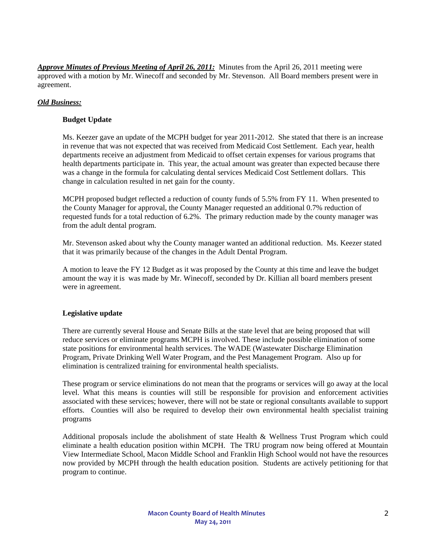*Approve Minutes of Previous Meeting of April 26, 2011:* Minutes from the April 26, 2011 meeting were approved with a motion by Mr. Winecoff and seconded by Mr. Stevenson. All Board members present were in agreement.

## *Old Business:*

## **Budget Update**

Ms. Keezer gave an update of the MCPH budget for year 2011-2012. She stated that there is an increase in revenue that was not expected that was received from Medicaid Cost Settlement. Each year, health departments receive an adjustment from Medicaid to offset certain expenses for various programs that health departments participate in. This year, the actual amount was greater than expected because there was a change in the formula for calculating dental services Medicaid Cost Settlement dollars. This change in calculation resulted in net gain for the county.

MCPH proposed budget reflected a reduction of county funds of 5.5% from FY 11. When presented to the County Manager for approval, the County Manager requested an additional 0.7% reduction of requested funds for a total reduction of 6.2%. The primary reduction made by the county manager was from the adult dental program.

Mr. Stevenson asked about why the County manager wanted an additional reduction. Ms. Keezer stated that it was primarily because of the changes in the Adult Dental Program.

A motion to leave the FY 12 Budget as it was proposed by the County at this time and leave the budget amount the way it is was made by Mr. Winecoff, seconded by Dr. Killian all board members present were in agreement.

#### **Legislative update**

There are currently several House and Senate Bills at the state level that are being proposed that will reduce services or eliminate programs MCPH is involved. These include possible elimination of some state positions for environmental health services. The WADE (Wastewater Discharge Elimination Program, Private Drinking Well Water Program, and the Pest Management Program. Also up for elimination is centralized training for environmental health specialists.

These program or service eliminations do not mean that the programs or services will go away at the local level. What this means is counties will still be responsible for provision and enforcement activities associated with these services; however, there will not be state or regional consultants available to support efforts. Counties will also be required to develop their own environmental health specialist training programs

Additional proposals include the abolishment of state Health & Wellness Trust Program which could eliminate a health education position within MCPH. The TRU program now being offered at Mountain View Intermediate School, Macon Middle School and Franklin High School would not have the resources now provided by MCPH through the health education position. Students are actively petitioning for that program to continue.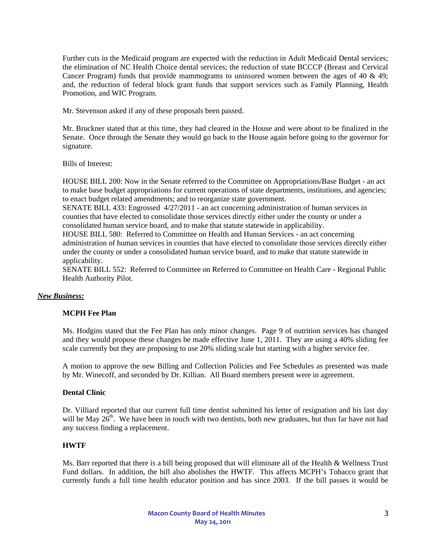Further cuts in the Medicaid program are expected with the reduction in Adult Medicaid Dental services; the elimination of NC Health Choice dental services; the reduction of state BCCCP (Breast and Cervical Cancer Program) funds that provide mammograms to uninsured women between the ages of 40  $\&$  49; and, the reduction of federal block grant funds that support services such as Family Planning, Health Promotion, and WIC Program.

Mr. Stevenson asked if any of these proposals been passed.

Mr. Bruckner stated that at this time, they had cleared in the House and were about to be finalized in the Senate. Once through the Senate they would go back to the House again before going to the governor for signature.

Bills of Interest:

HOUSE BILL 200: Now in the Senate referred to the Committee on Appropriations/Base Budget - an act to make base budget appropriations for current operations of state departments, institutions, and agencies; to enact budget related amendments; and to reorganize state government.

SENATE BILL 433: Engrossed 4/27/2011 - an act concerning administration of human services in counties that have elected to consolidate those services directly either under the county or under a consolidated human service board, and to make that statute statewide in applicability.

HOUSE BILL 580: Referred to Committee on Health and Human Services - an act concerning administration of human services in counties that have elected to consolidate those services directly either under the county or under a consolidated human service board, and to make that statute statewide in applicability.

SENATE BILL 552: Referred to Committee on Referred to Committee on Health Care - Regional Public Health Authority Pilot.

## *New Business:*

### **MCPH Fee Plan**

Ms. Hodgins stated that the Fee Plan has only minor changes. Page 9 of nutrition services has changed and they would propose these changes be made effective June 1, 2011. They are using a 40% sliding fee scale currently but they are proposing to use 20% sliding scale but starting with a higher service fee.

A motion to approve the new Billing and Collection Policies and Fee Schedules as presented was made by Mr. Winecoff, and seconded by Dr. Killian. All Board members present were in agreement.

#### **Dental Clinic**

Dr. Villiard reported that our current full time dentist submitted his letter of resignation and his last day will be May  $26^{th}$ . We have been in touch with two dentists, both new graduates, but thus far have not had any success finding a replacement.

## **HWTF**

Ms. Barr reported that there is a bill being proposed that will eliminate all of the Health & Wellness Trust Fund dollars. In addition, the bill also abolishes the HWTF. This affects MCPH's Tobacco grant that currently funds a full time health educator position and has since 2003. If the bill passes it would be